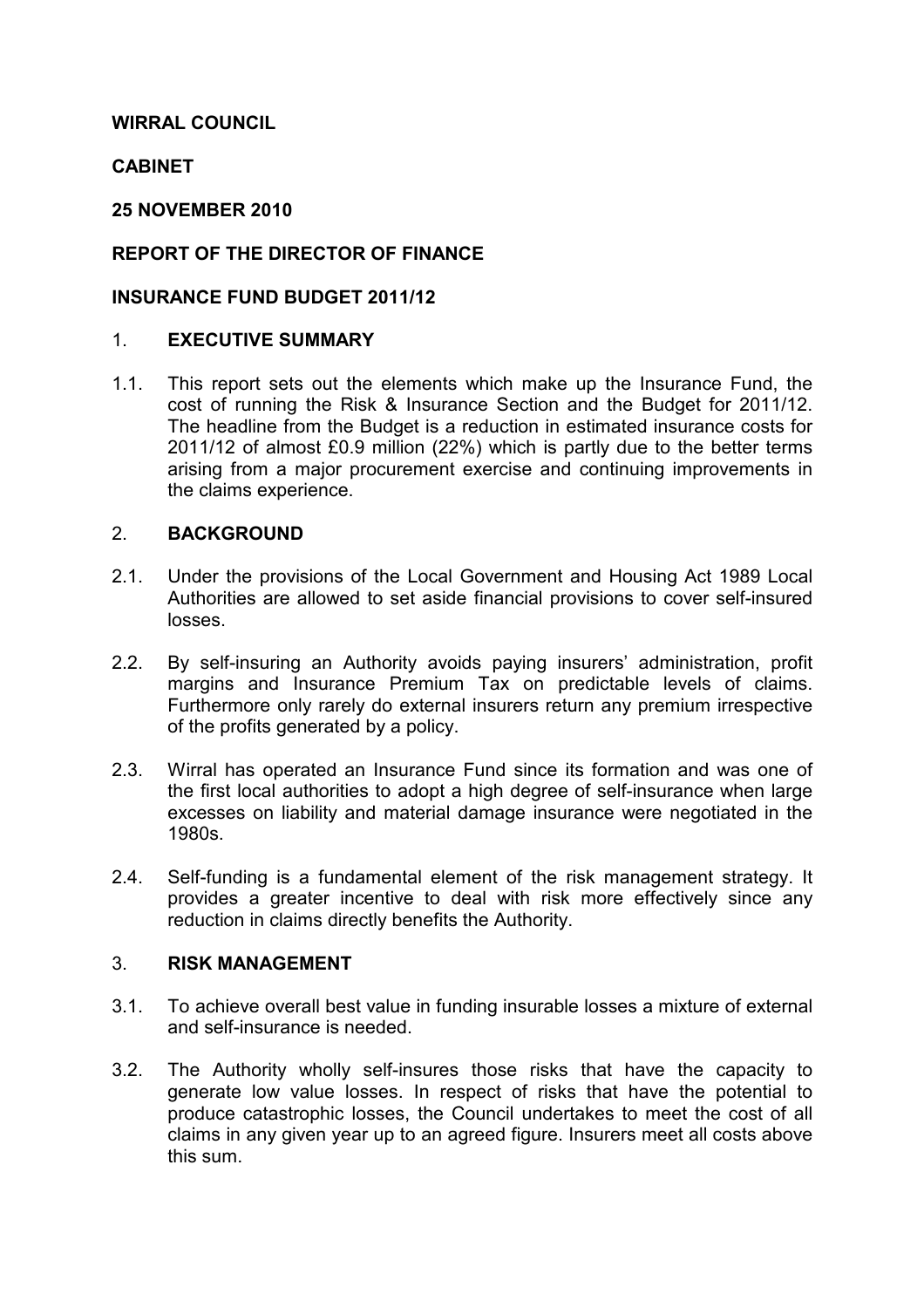#### WIRRAL COUNCIL

#### **CABINET**

#### 25 NOVEMBER 2010

### REPORT OF THE DIRECTOR OF FINANCE

#### INSURANCE FUND BUDGET 2011/12

#### 1. EXECUTIVE SUMMARY

1.1. This report sets out the elements which make up the Insurance Fund, the cost of running the Risk & Insurance Section and the Budget for 2011/12. The headline from the Budget is a reduction in estimated insurance costs for 2011/12 of almost £0.9 million (22%) which is partly due to the better terms arising from a major procurement exercise and continuing improvements in the claims experience.

### 2. BACKGROUND

- 2.1. Under the provisions of the Local Government and Housing Act 1989 Local Authorities are allowed to set aside financial provisions to cover self-insured losses.
- 2.2. By self-insuring an Authority avoids paying insurers' administration, profit margins and Insurance Premium Tax on predictable levels of claims. Furthermore only rarely do external insurers return any premium irrespective of the profits generated by a policy.
- 2.3. Wirral has operated an Insurance Fund since its formation and was one of the first local authorities to adopt a high degree of self-insurance when large excesses on liability and material damage insurance were negotiated in the 1980s.
- 2.4. Self-funding is a fundamental element of the risk management strategy. It provides a greater incentive to deal with risk more effectively since any reduction in claims directly benefits the Authority.

#### 3. RISK MANAGEMENT

- 3.1. To achieve overall best value in funding insurable losses a mixture of external and self-insurance is needed.
- 3.2. The Authority wholly self-insures those risks that have the capacity to generate low value losses. In respect of risks that have the potential to produce catastrophic losses, the Council undertakes to meet the cost of all claims in any given year up to an agreed figure. Insurers meet all costs above this sum.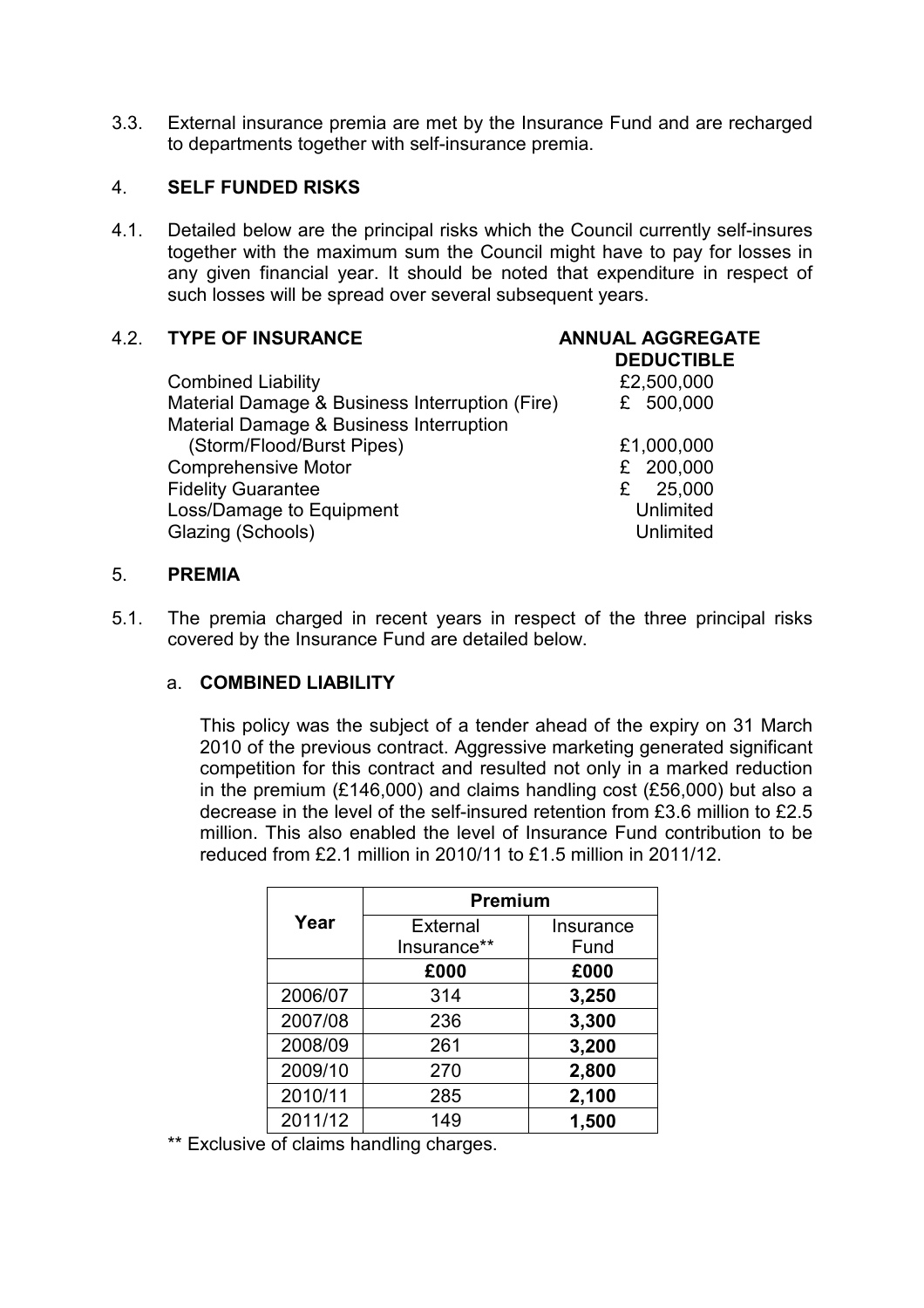3.3. External insurance premia are met by the Insurance Fund and are recharged to departments together with self-insurance premia.

#### 4. SELF FUNDED RISKS

4.1. Detailed below are the principal risks which the Council currently self-insures together with the maximum sum the Council might have to pay for losses in any given financial year. It should be noted that expenditure in respect of such losses will be spread over several subsequent years.

### 4.2. TYPE OF INSURANCE ANNUAL AGGREGATE

# DEDUCTIBLE

| <b>Combined Liability</b><br>Material Damage & Business Interruption (Fire) | £2,500,000<br>£ 500,000 |
|-----------------------------------------------------------------------------|-------------------------|
| Material Damage & Business Interruption                                     |                         |
| (Storm/Flood/Burst Pipes)                                                   | £1,000,000              |
| <b>Comprehensive Motor</b>                                                  | £ 200,000               |
| <b>Fidelity Guarantee</b>                                                   | 25,000<br>£             |
| Loss/Damage to Equipment                                                    | Unlimited               |
| Glazing (Schools)                                                           | <b>Unlimited</b>        |
|                                                                             |                         |

#### 5. PREMIA

5.1. The premia charged in recent years in respect of the three principal risks covered by the Insurance Fund are detailed below.

#### a. COMBINED LIABILITY

 This policy was the subject of a tender ahead of the expiry on 31 March 2010 of the previous contract. Aggressive marketing generated significant competition for this contract and resulted not only in a marked reduction in the premium (£146,000) and claims handling cost (£56,000) but also a decrease in the level of the self-insured retention from £3.6 million to £2.5 million. This also enabled the level of Insurance Fund contribution to be reduced from £2.1 million in 2010/11 to £1.5 million in 2011/12.

|         | <b>Premium</b> |           |  |  |
|---------|----------------|-----------|--|--|
| Year    | External       | Insurance |  |  |
|         | Insurance**    | Fund      |  |  |
|         | £000           | £000      |  |  |
| 2006/07 | 314            | 3,250     |  |  |
| 2007/08 | 236            | 3,300     |  |  |
| 2008/09 | 261            | 3,200     |  |  |
| 2009/10 | 270            | 2,800     |  |  |
| 2010/11 | 285            | 2,100     |  |  |
| 2011/12 | 149            | 1,500     |  |  |

\*\* Exclusive of claims handling charges.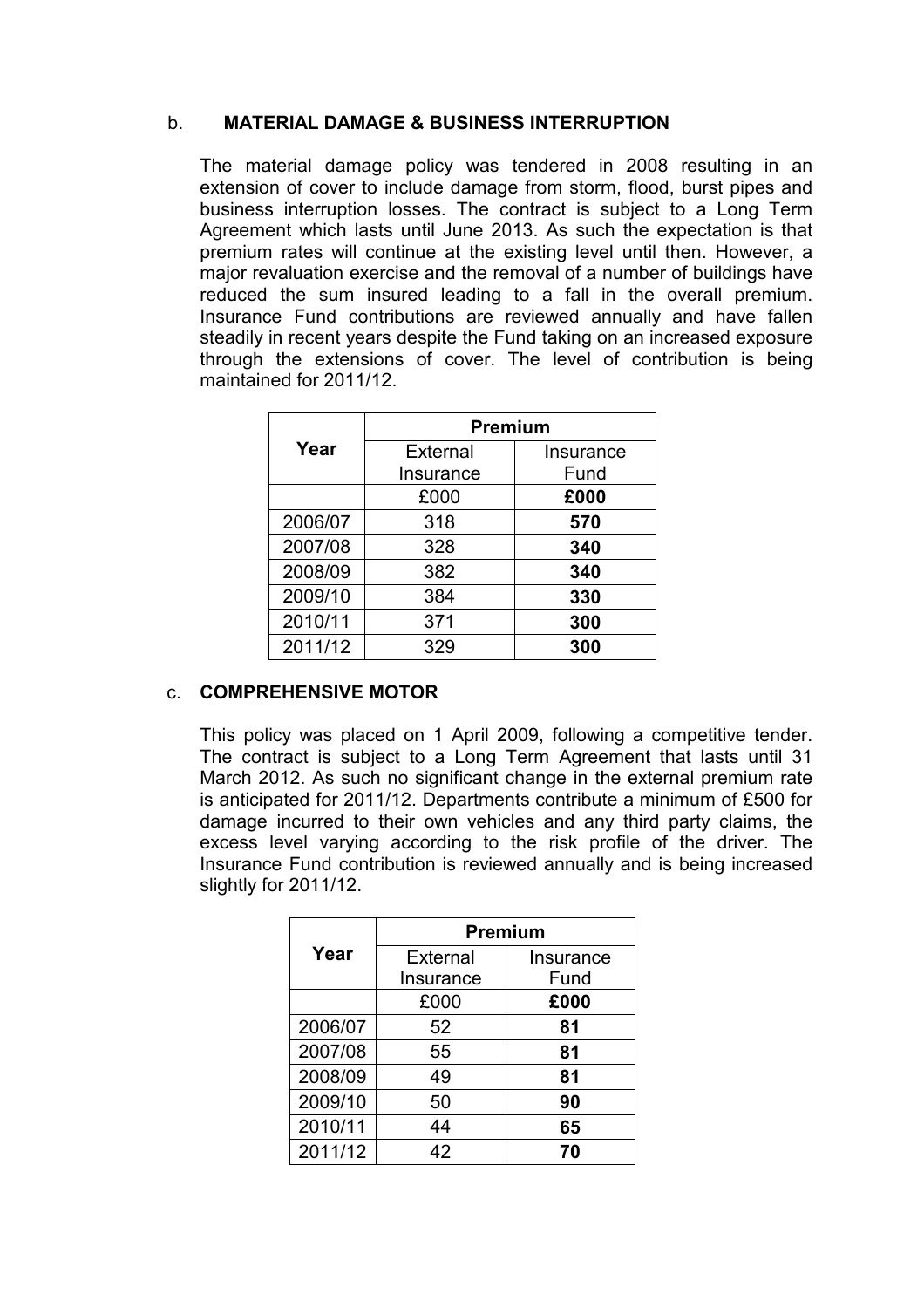#### b. MATERIAL DAMAGE & BUSINESS INTERRUPTION

 The material damage policy was tendered in 2008 resulting in an extension of cover to include damage from storm, flood, burst pipes and business interruption losses. The contract is subject to a Long Term Agreement which lasts until June 2013. As such the expectation is that premium rates will continue at the existing level until then. However, a major revaluation exercise and the removal of a number of buildings have reduced the sum insured leading to a fall in the overall premium. Insurance Fund contributions are reviewed annually and have fallen steadily in recent years despite the Fund taking on an increased exposure through the extensions of cover. The level of contribution is being maintained for 2011/12.

|         | <b>Premium</b> |           |  |  |
|---------|----------------|-----------|--|--|
| Year    | External       | Insurance |  |  |
|         | Insurance      | Fund      |  |  |
|         | £000           | £000      |  |  |
| 2006/07 | 318            | 570       |  |  |
| 2007/08 | 328            | 340       |  |  |
| 2008/09 | 382            | 340       |  |  |
| 2009/10 | 384            | 330       |  |  |
| 2010/11 | 371            | 300       |  |  |
| 2011/12 | 329            | 300       |  |  |

# c. COMPREHENSIVE MOTOR

 This policy was placed on 1 April 2009, following a competitive tender. The contract is subject to a Long Term Agreement that lasts until 31 March 2012. As such no significant change in the external premium rate is anticipated for 2011/12. Departments contribute a minimum of £500 for damage incurred to their own vehicles and any third party claims, the excess level varying according to the risk profile of the driver. The Insurance Fund contribution is reviewed annually and is being increased slightly for 2011/12.

|         | <b>Premium</b> |           |  |
|---------|----------------|-----------|--|
| Year    | External       | Insurance |  |
|         | Insurance      | Fund      |  |
|         | £000           | £000      |  |
| 2006/07 | 52             | 81        |  |
| 2007/08 | 55             | 81        |  |
| 2008/09 | 49             | 81        |  |
| 2009/10 | 50             | 90        |  |
| 2010/11 | 44             | 65        |  |
| 2011/12 | 42             | 70        |  |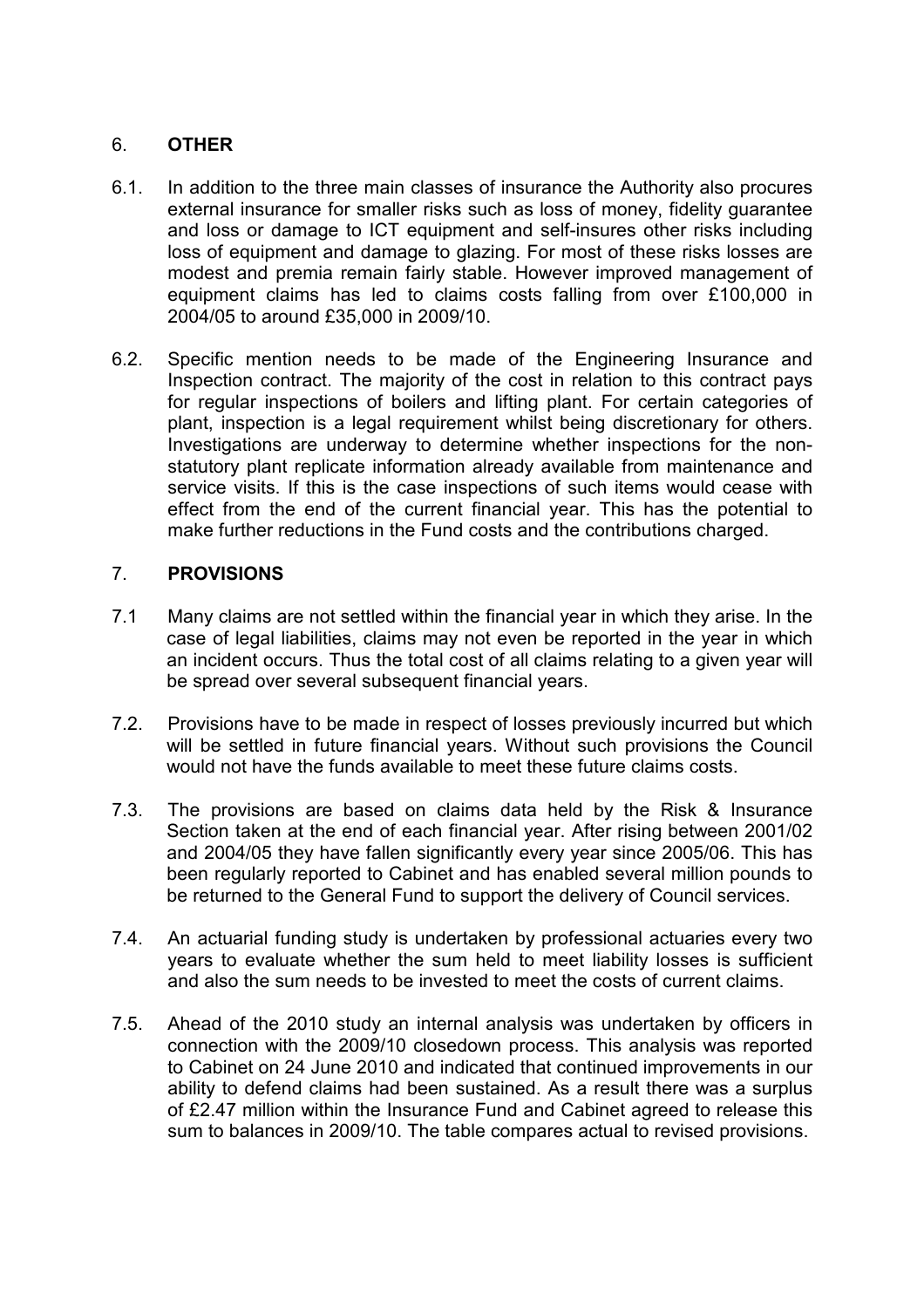### 6. OTHER

- 6.1. In addition to the three main classes of insurance the Authority also procures external insurance for smaller risks such as loss of money, fidelity guarantee and loss or damage to ICT equipment and self-insures other risks including loss of equipment and damage to glazing. For most of these risks losses are modest and premia remain fairly stable. However improved management of equipment claims has led to claims costs falling from over £100,000 in 2004/05 to around £35,000 in 2009/10.
- 6.2. Specific mention needs to be made of the Engineering Insurance and Inspection contract. The majority of the cost in relation to this contract pays for regular inspections of boilers and lifting plant. For certain categories of plant, inspection is a legal requirement whilst being discretionary for others. Investigations are underway to determine whether inspections for the nonstatutory plant replicate information already available from maintenance and service visits. If this is the case inspections of such items would cease with effect from the end of the current financial year. This has the potential to make further reductions in the Fund costs and the contributions charged.

#### 7. PROVISIONS

- 7.1 Many claims are not settled within the financial year in which they arise. In the case of legal liabilities, claims may not even be reported in the year in which an incident occurs. Thus the total cost of all claims relating to a given year will be spread over several subsequent financial years.
- 7.2. Provisions have to be made in respect of losses previously incurred but which will be settled in future financial years. Without such provisions the Council would not have the funds available to meet these future claims costs.
- 7.3. The provisions are based on claims data held by the Risk & Insurance Section taken at the end of each financial year. After rising between 2001/02 and 2004/05 they have fallen significantly every year since 2005/06. This has been regularly reported to Cabinet and has enabled several million pounds to be returned to the General Fund to support the delivery of Council services.
- 7.4. An actuarial funding study is undertaken by professional actuaries every two years to evaluate whether the sum held to meet liability losses is sufficient and also the sum needs to be invested to meet the costs of current claims.
- 7.5. Ahead of the 2010 study an internal analysis was undertaken by officers in connection with the 2009/10 closedown process. This analysis was reported to Cabinet on 24 June 2010 and indicated that continued improvements in our ability to defend claims had been sustained. As a result there was a surplus of £2.47 million within the Insurance Fund and Cabinet agreed to release this sum to balances in 2009/10. The table compares actual to revised provisions.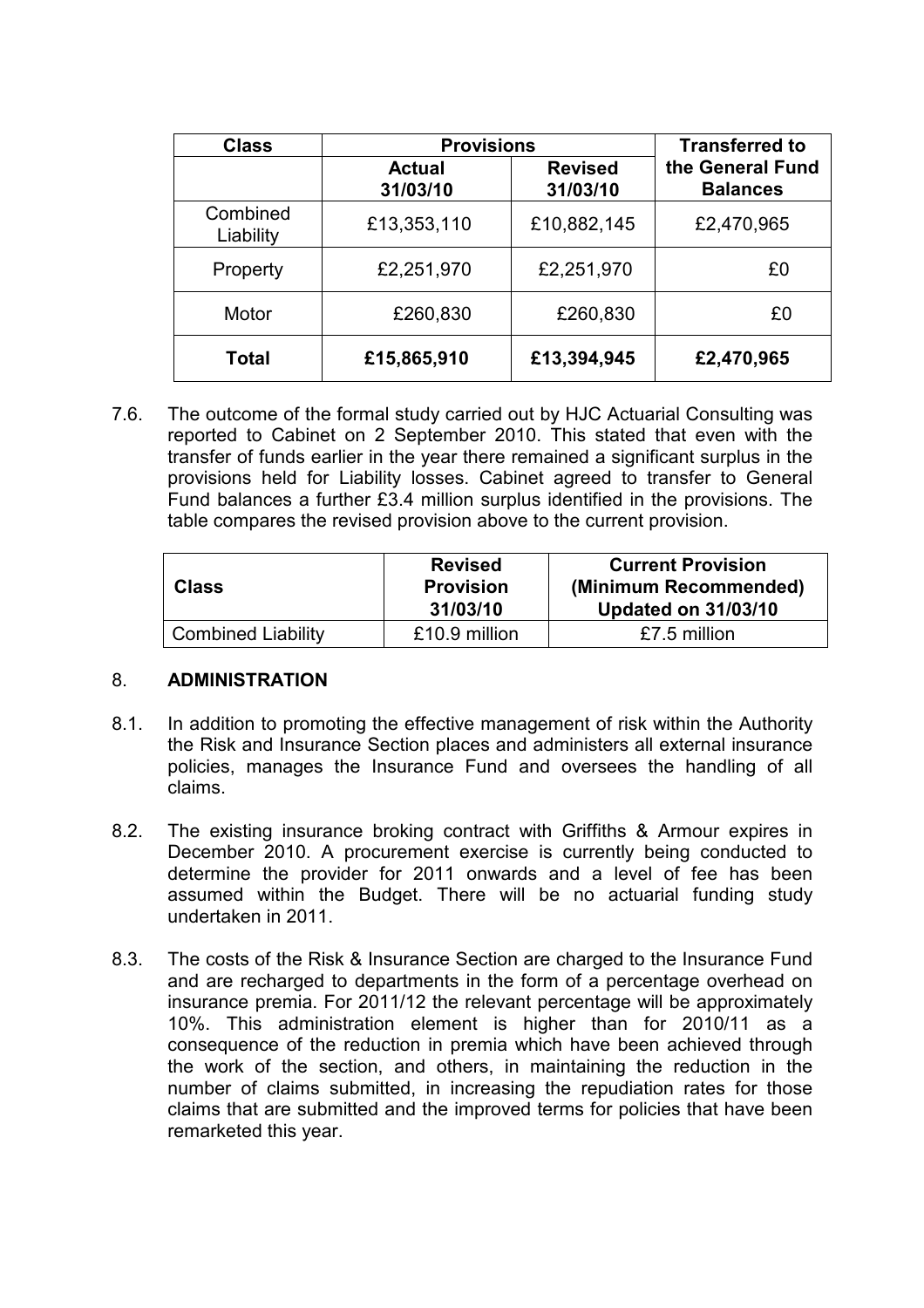| <b>Class</b>          | <b>Provisions</b>         | <b>Transferred to</b>      |                                     |
|-----------------------|---------------------------|----------------------------|-------------------------------------|
|                       | <b>Actual</b><br>31/03/10 | <b>Revised</b><br>31/03/10 | the General Fund<br><b>Balances</b> |
| Combined<br>Liability | £13,353,110               | £10,882,145                | £2,470,965                          |
| Property              | £2,251,970                | £2,251,970                 | £0                                  |
| Motor                 | £260,830                  | £260,830                   | £0                                  |
| <b>Total</b>          | £15,865,910               | £13,394,945                | £2,470,965                          |

7.6. The outcome of the formal study carried out by HJC Actuarial Consulting was reported to Cabinet on 2 September 2010. This stated that even with the transfer of funds earlier in the year there remained a significant surplus in the provisions held for Liability losses. Cabinet agreed to transfer to General Fund balances a further £3.4 million surplus identified in the provisions. The table compares the revised provision above to the current provision.

| <b>Class</b>              | <b>Revised</b><br><b>Provision</b><br>31/03/10 | <b>Current Provision</b><br>(Minimum Recommended)<br><b>Updated on 31/03/10</b> |
|---------------------------|------------------------------------------------|---------------------------------------------------------------------------------|
| <b>Combined Liability</b> | £10.9 million                                  | £7.5 million                                                                    |

#### 8. ADMINISTRATION

- 8.1. In addition to promoting the effective management of risk within the Authority the Risk and Insurance Section places and administers all external insurance policies, manages the Insurance Fund and oversees the handling of all claims.
- 8.2. The existing insurance broking contract with Griffiths & Armour expires in December 2010. A procurement exercise is currently being conducted to determine the provider for 2011 onwards and a level of fee has been assumed within the Budget. There will be no actuarial funding study undertaken in 2011.
- 8.3. The costs of the Risk & Insurance Section are charged to the Insurance Fund and are recharged to departments in the form of a percentage overhead on insurance premia. For 2011/12 the relevant percentage will be approximately 10%. This administration element is higher than for 2010/11 as a consequence of the reduction in premia which have been achieved through the work of the section, and others, in maintaining the reduction in the number of claims submitted, in increasing the repudiation rates for those claims that are submitted and the improved terms for policies that have been remarketed this year.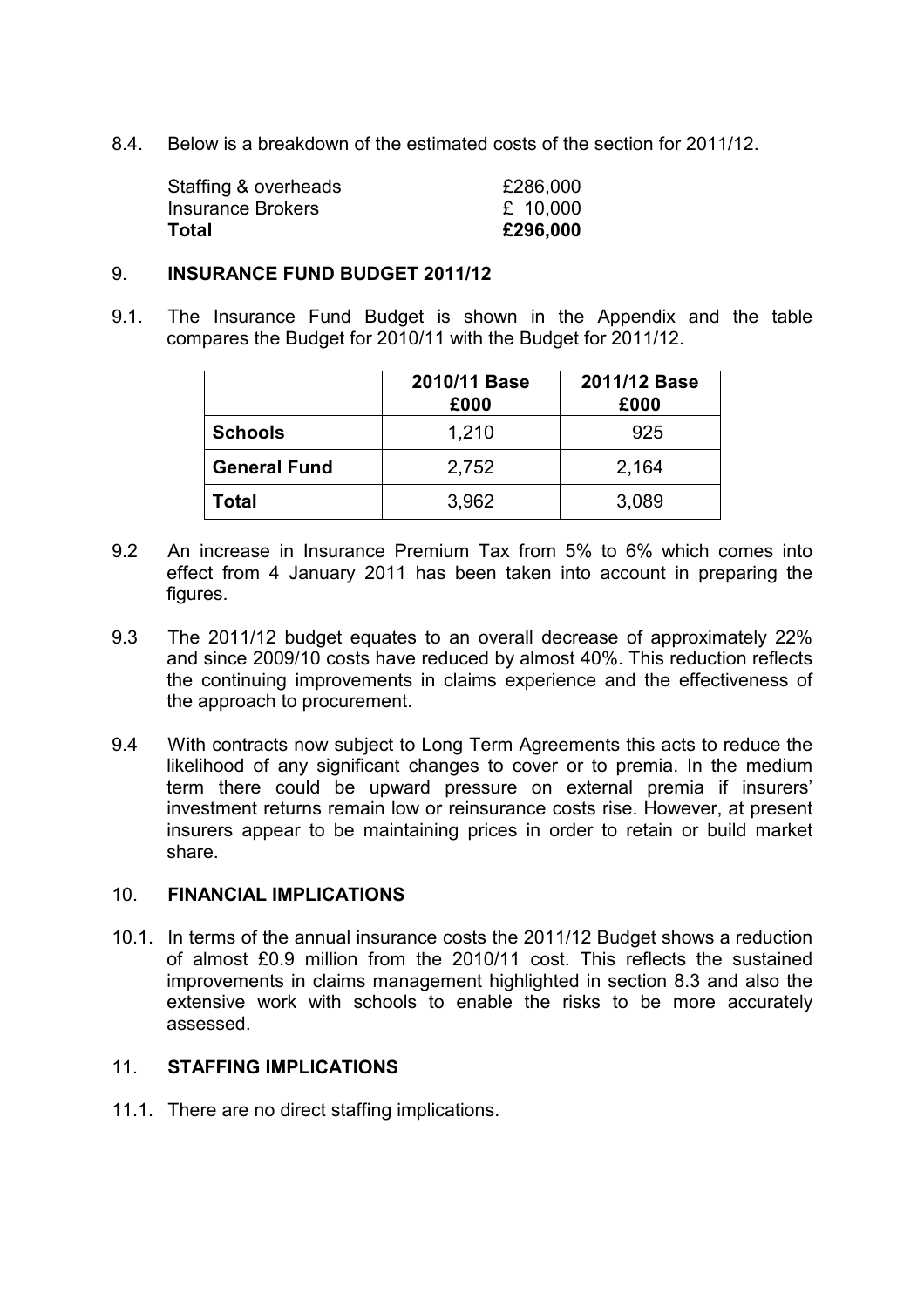8.4. Below is a breakdown of the estimated costs of the section for 2011/12.

| £296,000 |
|----------|
| £ 10,000 |
| £286,000 |
|          |

#### 9. INSURANCE FUND BUDGET 2011/12

9.1. The Insurance Fund Budget is shown in the Appendix and the table compares the Budget for 2010/11 with the Budget for 2011/12.

|                     | 2010/11 Base<br>£000 | 2011/12 Base<br>£000 |
|---------------------|----------------------|----------------------|
| <b>Schools</b>      | 1,210                | 925                  |
| <b>General Fund</b> | 2,752                | 2,164                |
| Total               | 3,962                | 3,089                |

- 9.2 An increase in Insurance Premium Tax from 5% to 6% which comes into effect from 4 January 2011 has been taken into account in preparing the figures.
- 9.3 The 2011/12 budget equates to an overall decrease of approximately 22% and since 2009/10 costs have reduced by almost 40%. This reduction reflects the continuing improvements in claims experience and the effectiveness of the approach to procurement.
- 9.4 With contracts now subject to Long Term Agreements this acts to reduce the likelihood of any significant changes to cover or to premia. In the medium term there could be upward pressure on external premia if insurers' investment returns remain low or reinsurance costs rise. However, at present insurers appear to be maintaining prices in order to retain or build market share.

#### 10. FINANCIAL IMPLICATIONS

10.1. In terms of the annual insurance costs the 2011/12 Budget shows a reduction of almost £0.9 million from the 2010/11 cost. This reflects the sustained improvements in claims management highlighted in section 8.3 and also the extensive work with schools to enable the risks to be more accurately assessed.

#### 11. STAFFING IMPLICATIONS

11.1. There are no direct staffing implications.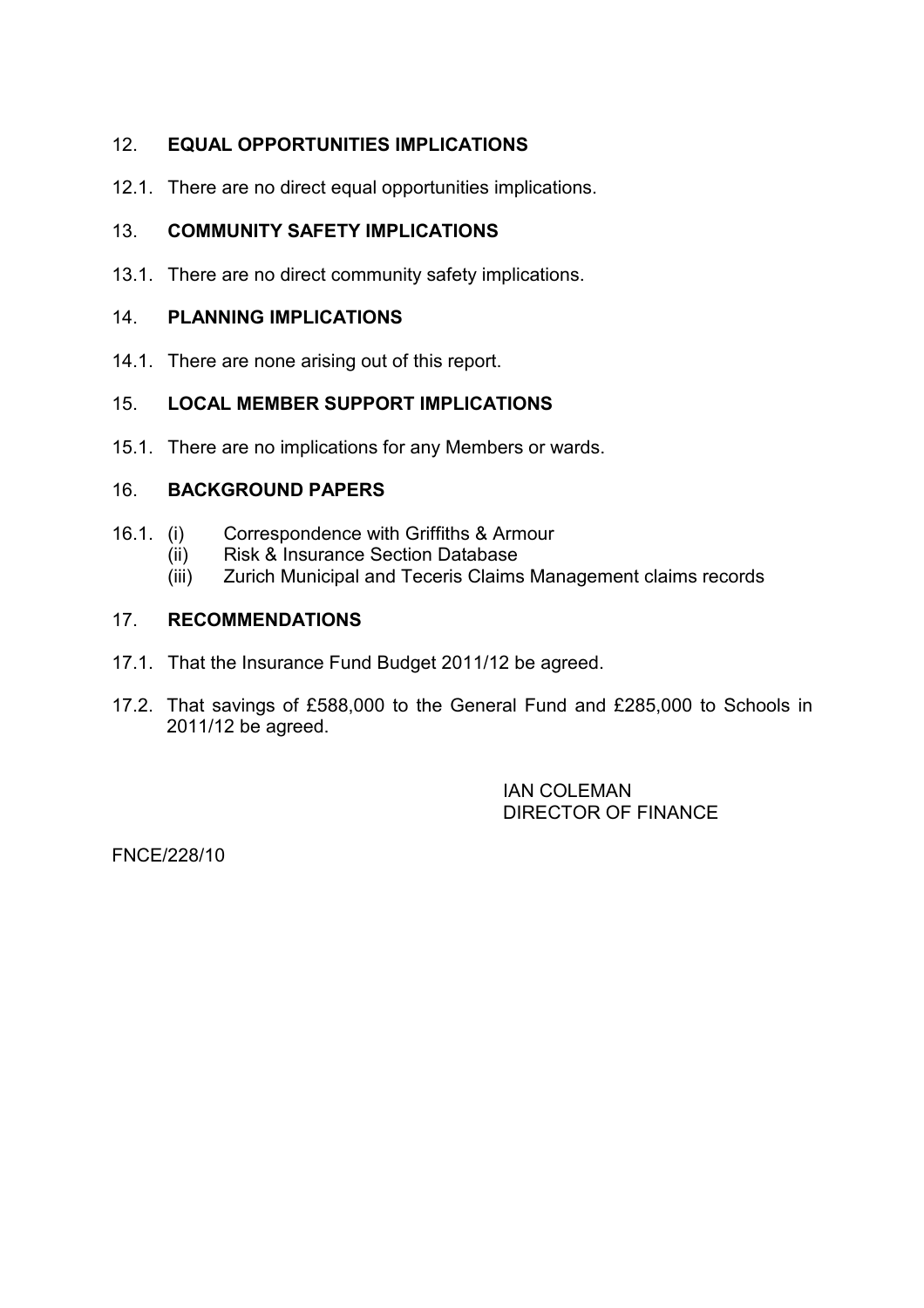# 12. EQUAL OPPORTUNITIES IMPLICATIONS

12.1. There are no direct equal opportunities implications.

# 13. COMMUNITY SAFETY IMPLICATIONS

13.1. There are no direct community safety implications.

#### 14. PLANNING IMPLICATIONS

14.1. There are none arising out of this report.

# 15. LOCAL MEMBER SUPPORT IMPLICATIONS

15.1. There are no implications for any Members or wards.

#### 16. BACKGROUND PAPERS

- 16.1. (i) Correspondence with Griffiths & Armour
	- (ii) Risk & Insurance Section Database
	- (iii) Zurich Municipal and Teceris Claims Management claims records

#### 17. RECOMMENDATIONS

- 17.1. That the Insurance Fund Budget 2011/12 be agreed.
- 17.2. That savings of £588,000 to the General Fund and £285,000 to Schools in 2011/12 be agreed.

 IAN COLEMAN DIRECTOR OF FINANCE

FNCE/228/10